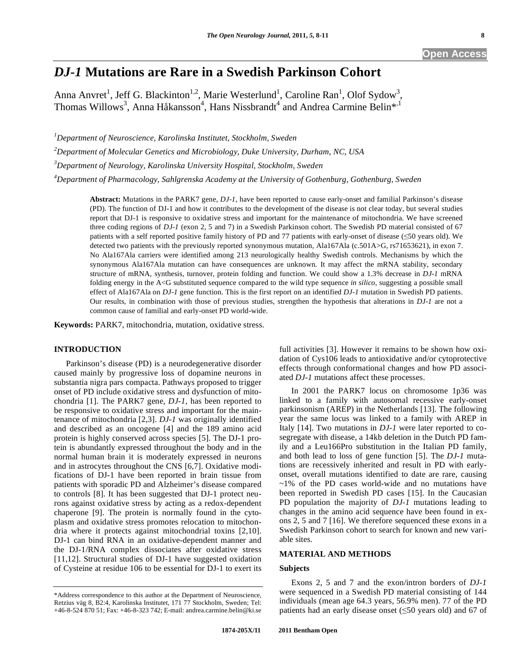# *DJ-1* **Mutations are Rare in a Swedish Parkinson Cohort**

Anna Anvret<sup>1</sup>, Jeff G. Blackinton<sup>1,2</sup>, Marie Westerlund<sup>1</sup>, Caroline Ran<sup>1</sup>, Olof Sydow<sup>3</sup>, Thomas Willows<sup>3</sup>, Anna Håkansson<sup>4</sup>, Hans Nissbrandt<sup>4</sup> and Andrea Carmine Belin<sup>\*,1</sup>

*1 Department of Neuroscience, Karolinska Institutet, Stockholm, Sweden* 

*2 Department of Molecular Genetics and Microbiology, Duke University, Durham, NC, USA* 

*3 Department of Neurology, Karolinska University Hospital, Stockholm, Sweden* 

*4 Department of Pharmacology, Sahlgrenska Academy at the University of Gothenburg, Gothenburg, Sweden* 

**Abstract:** Mutations in the PARK7 gene, *DJ-1*, have been reported to cause early-onset and familial Parkinson's disease (PD). The function of DJ-1 and how it contributes to the development of the disease is not clear today, but several studies report that DJ-1 is responsive to oxidative stress and important for the maintenance of mitochondria. We have screened three coding regions of *DJ-1* (exon 2, 5 and 7) in a Swedish Parkinson cohort. The Swedish PD material consisted of 67 patients with a self reported positive family history of PD and 77 patients with early-onset of disease (50 years old). We detected two patients with the previously reported synonymous mutation, Ala167Ala (c.501A>G, rs71653621), in exon 7. No Ala167Ala carriers were identified among 213 neurologically healthy Swedish controls. Mechanisms by which the synonymous Ala167Ala mutation can have consequences are unknown. It may affect the mRNA stability, secondary structure of mRNA, synthesis, turnover, protein folding and function. We could show a 1.3% decrease in *DJ-1* mRNA folding energy in the A<G substituted sequence compared to the wild type sequence *in silico,* suggesting a possible small effect of Ala167Ala on *DJ-1* gene function. This is the first report on an identified *DJ-1* mutation in Swedish PD patients. Our results, in combination with those of previous studies, strengthen the hypothesis that alterations in *DJ-1* are not a common cause of familial and early-onset PD world-wide.

**Keywords:** PARK7, mitochondria, mutation, oxidative stress.

# **INTRODUCTION**

 Parkinson's disease (PD) is a neurodegenerative disorder caused mainly by progressive loss of dopamine neurons in substantia nigra pars compacta. Pathways proposed to trigger onset of PD include oxidative stress and dysfunction of mitochondria [1]. The PARK7 gene, *DJ-1*, has been reported to be responsive to oxidative stress and important for the maintenance of mitochondria [2,3]. *DJ-1* was originally identified and described as an oncogene [4] and the 189 amino acid protein is highly conserved across species [5]. The DJ-1 protein is abundantly expressed throughout the body and in the normal human brain it is moderately expressed in neurons and in astrocytes throughout the CNS [6,7]. Oxidative modifications of DJ-1 have been reported in brain tissue from patients with sporadic PD and Alzheimer's disease compared to controls [8]. It has been suggested that DJ-1 protect neurons against oxidative stress by acting as a redox-dependent chaperone [9]. The protein is normally found in the cytoplasm and oxidative stress promotes relocation to mitochondria where it protects against mitochondrial toxins [2,10]. DJ-1 can bind RNA in an oxidative-dependent manner and the DJ-1/RNA complex dissociates after oxidative stress [11,12]. Structural studies of DJ-1 have suggested oxidation of Cysteine at residue 106 to be essential for DJ-1 to exert its full activities [3]. However it remains to be shown how oxidation of Cys106 leads to antioxidative and/or cytoprotective effects through conformational changes and how PD associated *DJ-1* mutations affect these processes.

 In 2001 the PARK7 locus on chromosome 1p36 was linked to a family with autosomal recessive early-onset parkinsonism (AREP) in the Netherlands [13]. The following year the same locus was linked to a family with AREP in Italy [14]. Two mutations in *DJ-1* were later reported to cosegregate with disease, a 14kb deletion in the Dutch PD family and a Leu166Pro substitution in the Italian PD family, and both lead to loss of gene function [5]. The *DJ-1* mutations are recessively inherited and result in PD with earlyonset, overall mutations identified to date are rare, causing ~1% of the PD cases world-wide and no mutations have been reported in Swedish PD cases [15]. In the Caucasian PD population the majority of *DJ-1* mutations leading to changes in the amino acid sequence have been found in exons 2, 5 and 7 [16]. We therefore sequenced these exons in a Swedish Parkinson cohort to search for known and new variable sites.

# **MATERIAL AND METHODS**

# **Subjects**

 Exons 2, 5 and 7 and the exon/intron borders of *DJ-1* were sequenced in a Swedish PD material consisting of 144 individuals (mean age 64.3 years, 56.9% men). 77 of the PD patients had an early disease onset  $(\leq 50$  years old) and 67 of

<sup>\*</sup>Address correspondence to this author at the Department of Neuroscience, Retzius väg 8, B2:4, Karolinska Institutet, 171 77 Stockholm, Sweden; Tel: +46-8-524 870 51; Fax: +46-8-323 742; E-mail: andrea.carmine.belin@ki.se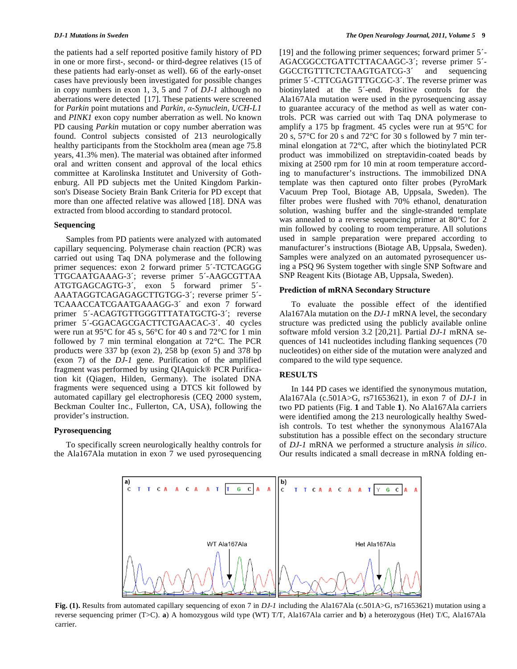the patients had a self reported positive family history of PD in one or more first-, second- or third-degree relatives (15 of these patients had early-onset as well). 66 of the early-onset cases have previously been investigated for possible changes in copy numbers in exon 1, 3, 5 and 7 of *DJ-1* although no aberrations were detected [17]. These patients were screened for *Parkin* point mutations and *Parkin*, *-Synuclein*, *UCH-L1* and *PINK1* exon copy number aberration as well. No known PD causing *Parkin* mutation or copy number aberration was found. Control subjects consisted of 213 neurologically healthy participants from the Stockholm area (mean age 75.8 years, 41.3% men). The material was obtained after informed oral and written consent and approval of the local ethics committee at Karolinska Institutet and University of Gothenburg. All PD subjects met the United Kingdom Parkinson's Disease Society Brain Bank Criteria for PD except that more than one affected relative was allowed [18]. DNA was extracted from blood according to standard protocol.

### **Sequencing**

 Samples from PD patients were analyzed with automated capillary sequencing. Polymerase chain reaction (PCR) was carried out using Taq DNA polymerase and the following primer sequences: exon 2 forward primer 5´-TCTCAGGG TTGCAATGAAAG-3´; reverse primer 5´-AAGCGTTAA ATGTGAGCAGTG-3´, exon 5 forward primer 5´- AAATAGGTCAGAGAGCTTGTGG-3´; reverse primer 5´- TCAAACCATCGAATGAAAGG-3´ and exon 7 forward primer 5´-ACAGTGTTGGGTTTATATGCTG-3´; reverse primer 5´-GGACAGCGACTTCTGAACAC-3´. 40 cycles were run at 95°C for 45 s, 56°C for 40 s and 72°C for 1 min followed by 7 min terminal elongation at 72°C. The PCR products were 337 bp (exon 2), 258 bp (exon 5) and 378 bp (exon 7) of the *DJ-1* gene. Purification of the amplified fragment was performed by using QIAquick® PCR Purification kit (Qiagen, Hilden, Germany). The isolated DNA fragments were sequenced using a DTCS kit followed by automated capillary gel electrophoresis (CEQ 2000 system, Beckman Coulter Inc., Fullerton, CA, USA), following the provider's instruction.

# **Pyrosequencing**

 To specifically screen neurologically healthy controls for the Ala167Ala mutation in exon 7 we used pyrosequencing [19] and the following primer sequences; forward primer 5´- AGACGGCCTGATTCTTACAAGC-3´; reverse primer 5´- GGCCTGTTTCTCTAAGTGATCG-3´ and sequencing primer 5´-CTTCGAGTTTGCGC-3´. The reverse primer was biotinylated at the 5´-end. Positive controls for the Ala167Ala mutation were used in the pyrosequencing assay to guarantee accuracy of the method as well as water controls. PCR was carried out with Taq DNA polymerase to amplify a 175 bp fragment. 45 cycles were run at 95°C for 20 s, 57°C for 20 s and 72°C for 30 s followed by 7 min terminal elongation at 72°C, after which the biotinylated PCR product was immobilized on streptavidin-coated beads by mixing at 2500 rpm for 10 min at room temperature according to manufacturer's instructions. The immobilized DNA template was then captured onto filter probes (PyroMark Vacuum Prep Tool, Biotage AB, Uppsala, Sweden). The filter probes were flushed with 70% ethanol, denaturation solution, washing buffer and the single-stranded template was annealed to a reverse sequencing primer at 80°C for 2 min followed by cooling to room temperature. All solutions used in sample preparation were prepared according to manufacturer's instructions (Biotage AB, Uppsala, Sweden). Samples were analyzed on an automated pyrosequencer using a PSQ 96 System together with single SNP Software and SNP Reagent Kits (Biotage AB, Uppsala, Sweden).

### **Prediction of mRNA Secondary Structure**

 To evaluate the possible effect of the identified Ala167Ala mutation on the *DJ-1* mRNA level, the secondary structure was predicted using the publicly available online software mfold version 3.2 [20,21]. Partial *DJ-1* mRNA sequences of 141 nucleotides including flanking sequences (70 nucleotides) on either side of the mutation were analyzed and compared to the wild type sequence.

# **RESULTS**

 In 144 PD cases we identified the synonymous mutation, Ala167Ala (c.501A>G, rs71653621), in exon 7 of *DJ-1* in two PD patients (Fig. **1** and Table **1**). No Ala167Ala carriers were identified among the 213 neurologically healthy Swedish controls. To test whether the synonymous Ala167Ala substitution has a possible effect on the secondary structure of *DJ-1* mRNA we performed a structure analysis *in silico*. Our results indicated a small decrease in mRNA folding en-



**Fig. (1).** Results from automated capillary sequencing of exon 7 in *DJ-1* including the Ala167Ala (c.501A>G, rs71653621) mutation using a reverse sequencing primer (T>C). **a**) A homozygous wild type (WT) T/T, Ala167Ala carrier and **b**) a heterozygous (Het) T/C, Ala167Ala carrier.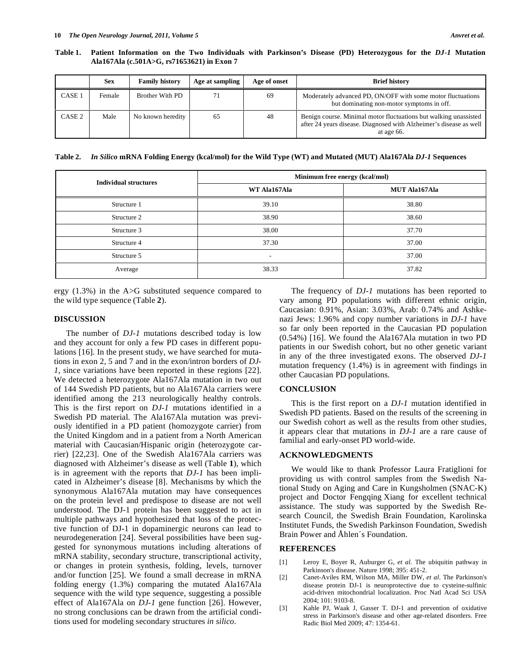**Table 1. Patient Information on the Two Individuals with Parkinson's Disease (PD) Heterozygous for the** *DJ-1* **Mutation Ala167Ala (c.501A>G, rs71653621) in Exon 7** 

|                   | <b>Sex</b> | <b>Family history</b>  | Age at sampling | Age of onset | <b>Brief history</b>                                                                                                                                 |
|-------------------|------------|------------------------|-----------------|--------------|------------------------------------------------------------------------------------------------------------------------------------------------------|
| CASE              | Female     | <b>Brother With PD</b> |                 | 69           | Moderately advanced PD, ON/OFF with some motor fluctuations<br>but dominating non-motor symptoms in off.                                             |
| CASE <sub>2</sub> | Male       | No known heredity      | 65              | 48           | Benign course. Minimal motor fluctuations but walking unassisted<br>after 24 years disease. Diagnosed with Alzheimer's disease as well<br>at age 66. |

**Table 2.** *In Silico* **mRNA Folding Energy (kcal/mol) for the Wild Type (WT) and Mutated (MUT) Ala167Ala** *DJ-1* **Sequences** 

| <b>Individual structures</b> | Minimum free energy (kcal/mol) |                      |  |  |
|------------------------------|--------------------------------|----------------------|--|--|
|                              | WT Ala167Ala                   | <b>MUT Ala167Ala</b> |  |  |
| Structure 1                  | 39.10                          | 38.80                |  |  |
| Structure 2                  | 38.90                          | 38.60                |  |  |
| Structure 3                  | 38.00                          | 37.70                |  |  |
| Structure 4                  | 37.30                          | 37.00                |  |  |
| Structure 5                  | -                              | 37.00                |  |  |
| Average                      | 38.33                          | 37.82                |  |  |

ergy (1.3%) in the A>G substituted sequence compared to the wild type sequence (Table **2**).

# **DISCUSSION**

 The number of *DJ-1* mutations described today is low and they account for only a few PD cases in different populations [16]. In the present study, we have searched for mutations in exon 2, 5 and 7 and in the exon/intron borders of *DJ-1*, since variations have been reported in these regions [22]. We detected a heterozygote Ala167Ala mutation in two out of 144 Swedish PD patients, but no Ala167Ala carriers were identified among the 213 neurologically healthy controls. This is the first report on *DJ-1* mutations identified in a Swedish PD material. The Ala167Ala mutation was previously identified in a PD patient (homozygote carrier) from the United Kingdom and in a patient from a North American material with Caucasian/Hispanic origin (heterozygote carrier) [22,23]. One of the Swedish Ala167Ala carriers was diagnosed with Alzheimer's disease as well (Table **1**), which is in agreement with the reports that *DJ-1* has been implicated in Alzheimer's disease [8]. Mechanisms by which the synonymous Ala167Ala mutation may have consequences on the protein level and predispose to disease are not well understood. The DJ-1 protein has been suggested to act in multiple pathways and hypothesized that loss of the protective function of DJ-1 in dopaminergic neurons can lead to neurodegeneration [24]. Several possibilities have been suggested for synonymous mutations including alterations of mRNA stability, secondary structure, transcriptional activity, or changes in protein synthesis, folding, levels, turnover and/or function [25]. We found a small decrease in mRNA folding energy (1.3%) comparing the mutated Ala167Ala sequence with the wild type sequence, suggesting a possible effect of Ala167Ala on *DJ-1* gene function [26]. However, no strong conclusions can be drawn from the artificial conditions used for modeling secondary structures *in silico*.

 The frequency of *DJ-1* mutations has been reported to vary among PD populations with different ethnic origin, Caucasian: 0.91%, Asian: 3.03%, Arab: 0.74% and Ashkenazi Jews: 1.96% and copy number variations in *DJ-1* have so far only been reported in the Caucasian PD population (0.54%) [16]. We found the Ala167Ala mutation in two PD patients in our Swedish cohort, but no other genetic variant in any of the three investigated exons. The observed *DJ-1* mutation frequency (1.4%) is in agreement with findings in other Caucasian PD populations.

### **CONCLUSION**

 This is the first report on a *DJ-1* mutation identified in Swedish PD patients. Based on the results of the screening in our Swedish cohort as well as the results from other studies, it appears clear that mutations in *DJ-1* are a rare cause of familial and early-onset PD world-wide.

# **ACKNOWLEDGMENTS**

 We would like to thank Professor Laura Fratiglioni for providing us with control samples from the Swedish National Study on Aging and Care in Kungsholmen (SNAC-K) project and Doctor Fengqing Xiang for excellent technical assistance. The study was supported by the Swedish Research Council, the Swedish Brain Foundation, Karolinska Institutet Funds, the Swedish Parkinson Foundation, Swedish Brain Power and Åhlen´s Foundation.

# **REFERENCES**

- [1] Leroy E, Boyer R, Auburger G, *et al*. The ubiquitin pathway in Parkinson's disease. Nature 1998; 395: 451-2.
- [2] Canet-Aviles RM, Wilson MA, Miller DW, *et al*. The Parkinson's disease protein DJ-1 is neuroprotective due to cysteine-sulfinic acid-driven mitochondrial localization. Proc Natl Acad Sci USA 2004; 101: 9103-8.
- [3] Kahle PJ, Waak J, Gasser T. DJ-1 and prevention of oxidative stress in Parkinson's disease and other age-related disorders. Free Radic Biol Med 2009; 47: 1354-61.